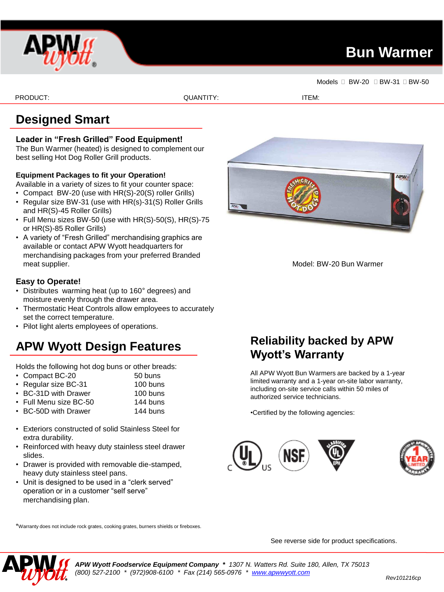

# **Bun Warmer**

Models **BW-20 BW-31 BW-50** 

PRODUCT: ITEM: ITEM: QUANTITY: ITEM: ITEM: ITEM: ITEM: ITEM: ITEM: ITEM: ITEM: ITEM: ITEM: ITEM: ITEM: ITEM: I

## **Designed Smart**

### **Leader in "Fresh Grilled" Food Equipment!**

The Bun Warmer (heated) is designed to complement our best selling Hot Dog Roller Grill products.

### **Equipment Packages to fit your Operation!**

Available in a variety of sizes to fit your counter space:

- Compact BW-20 (use with HR(S)-20(S) roller Grills)
- Regular size BW-31 (use with HR(s)-31(S) Roller Grills and HR(S)-45 Roller Grills)
- Full Menu sizes BW-50 (use with HR(S)-50(S), HR(S)-75 or HR(S)-85 Roller Grills)
- A variety of "Fresh Grilled" merchandising graphics are available or contact APW Wyott headquarters for merchandising packages from your preferred Branded meat supplier.

### **Easy to Operate!**

- Distributes warming heat (up to 160° degrees) and moisture evenly through the drawer area.
- Thermostatic Heat Controls allow employees to accurately set the correct temperature.
- Pilot light alerts employees of operations.

# **APW Wyott Design Features**

Holds the following hot dog buns or other breads:

- Compact BC-20 50 buns
- Regular size BC-31 100 buns
- BC-31D with Drawer 100 buns
- Full Menu size BC-50 144 buns
- BC-50D with Drawer 144 buns
- Exteriors constructed of solid Stainless Steel for extra durability.
- Reinforced with heavy duty stainless steel drawer slides.
- Drawer is provided with removable die-stamped, heavy duty stainless steel pans.
- Unit is designed to be used in a "clerk served" operation or in a customer "self serve" merchandising plan.



Model: BW-20 Bun Warmer

## **Reliability backed by APW Wyott's Warranty**

All APW Wyott Bun Warmers are backed by a 1-year limited warranty and a 1-year on-site labor warranty, including on-site service calls within 50 miles of authorized service technicians.

•Certified by the following agencies:



\*Warranty does not include rock grates, cooking grates, burners shields or fireboxes.

See reverse side for product specifications.



*APW Wyott Foodservice Equipment Company \* 1307 N. Watters Rd. Suite 180, Allen, TX 75013 (800) 527-2100 \* (972)908-6100 \* Fax (214) 565-0976 \* [www.apwwyott.com](http://www.apwwyott.com/)*